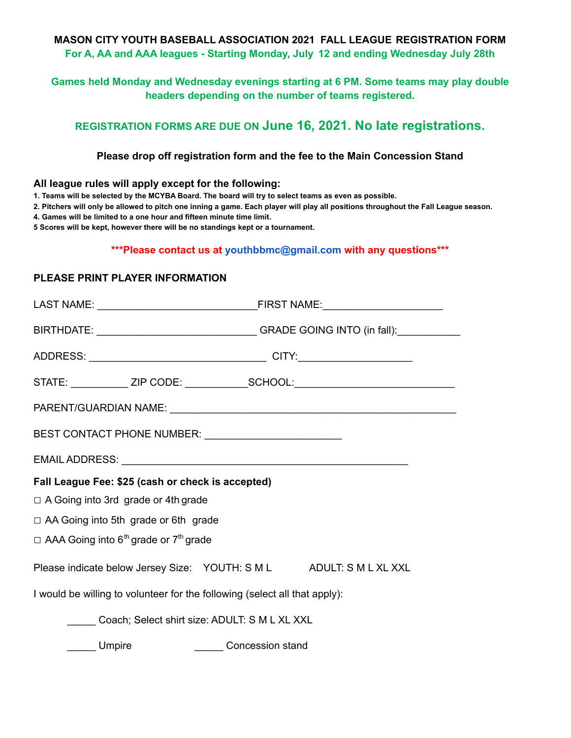#### **MASON CITY YOUTH BASEBALL ASSOCIATION 2021 FALL LEAGUE REGISTRATION FORM For A, AA and AAA leagues - Starting Monday, July 12 and ending Wednesday July 28th**

# **Games held Monday and Wednesday evenings starting at 6 PM. Some teams may play double headers depending on the number of teams registered.**

# **REGISTRATION FORMS ARE DUE ON June 16, 2021. No late registrations.**

### **Please drop off registration form and the fee to the Main Concession Stand**

#### **All league rules will apply except for the following:**

1. Teams will be selected by the MCYBA Board. The board will try to select teams as even as possible.

2. Pitchers will only be allowed to pitch one inning a game. Each player will play all positions throughout the Fall League season.

**4. Games will be limited to a one hour and fifteen minute time limit.**

**5 Scores will be kept, however there will be no standings kept or a tournament.**

### **\*\*\*Please contact us at youthbbmc@gmail.com with any questions\*\*\***

# **PLEASE PRINT PLAYER INFORMATION**

|                                                                            | BIRTHDATE: __________________________________GRADE GOING INTO (in fall):_________ |
|----------------------------------------------------------------------------|-----------------------------------------------------------------------------------|
|                                                                            |                                                                                   |
|                                                                            | STATE: ____________ ZIP CODE: ______________SCHOOL:_____________________________  |
|                                                                            |                                                                                   |
| BEST CONTACT PHONE NUMBER: ___________________________                     |                                                                                   |
|                                                                            |                                                                                   |
| Fall League Fee: \$25 (cash or check is accepted)                          |                                                                                   |
| □ A Going into 3rd grade or 4th grade                                      |                                                                                   |
| □ AA Going into 5th grade or 6th grade                                     |                                                                                   |
| $\Box$ AAA Going into 6 <sup>th</sup> grade or 7 <sup>th</sup> grade       |                                                                                   |
| Please indicate below Jersey Size: YOUTH: S M L ADULT: S M L XL XXL        |                                                                                   |
| I would be willing to volunteer for the following (select all that apply): |                                                                                   |
| Coach; Select shirt size: ADULT: S M L XL XXL                              |                                                                                   |
| Umpire                                                                     | <b>Concession stand</b>                                                           |